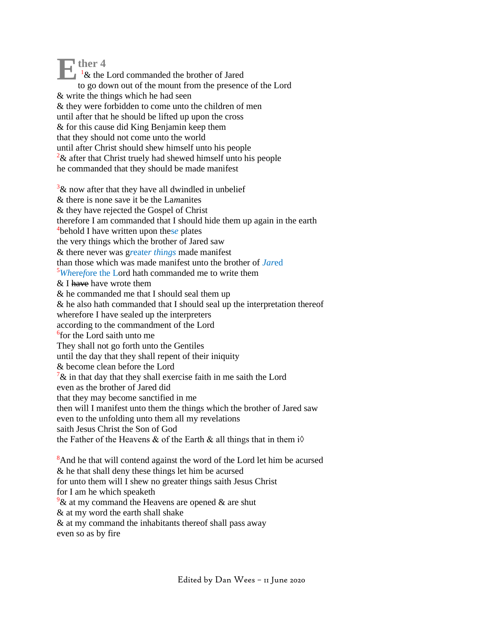$\sum_{k}^{n} \frac{1}{k}$  then  $\frac{4}{k}$  $1\&$  the Lord commanded the brother of Jared to go down out of the mount from the presence of the Lord & write the things which he had seen & they were forbidden to come unto the children of men until after that he should be lifted up upon the cross & for this cause did King Benjamin keep them that they should not come unto the world until after Christ should shew himself unto his people  $2\&$  after that Christ truely had shewed himself unto his people he commanded that they should be made manifest

 $3\&$  now after that they have all dwindled in unbelief & there is none sa*v*e it be the La*m*anites & they have rejected the Gospel of Christ therefore I am commanded that I should hide them up again in the earth 4 behold I have written upon thes*e* plates the very things which the brother of Jared saw & there never was g*r*eate*r th*i*ngs* made manifest than those which was made manifest unto the brother of *Jar*ed <sup>5</sup>*Wh*ere*f*ore the Lord hath commanded me to write them  $&$  I have have wrote them & he commanded me that I should seal them up & he also hath commanded that I should seal up the interpretation thereof wherefore I have sealed up the interpreters according to the commandment of the Lord 6 for the Lord saith unto me They shall not go forth unto the Gentiles until the day that they shall repent of their iniquity & become clean before the Lord  $7\&$  in that day that they shall exercise faith in me saith the Lord even as the brother of Jared did that they may become sanctified in me then will I manifest unto them the things which the brother of Jared saw even to the unfolding unto them all my revelations saith Jesus Christ the Son of God the Father of the Heavens & of the Earth & all things that in them  $i\Diamond$ 

<sup>8</sup>And he that will contend against the word of the Lord let him be acursed & he that shall deny these things let him be acursed for unto them will I shew no greater things saith Jesus Christ for I am he which speaketh  $9$ & at my command the Heavens are opened & are shut & at my word the earth shall shake & at my command the inhabitants thereof shall pass away even so as by fire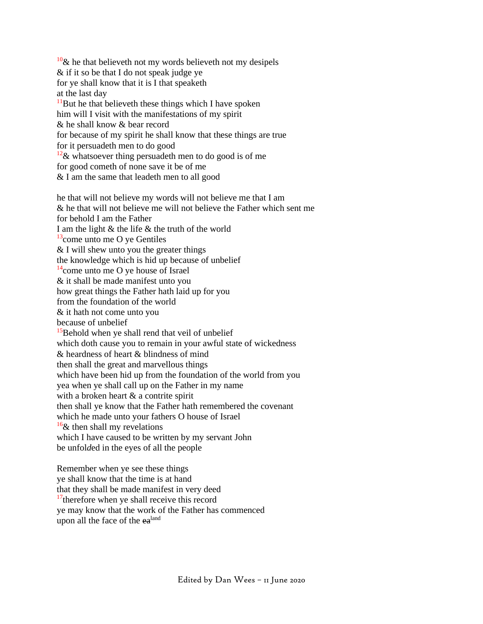$10\&$  he that believeth not my words believeth not my desipels & if it so be that I do not speak judge ye for ye shall know that it is I that speaketh at the last day  $11$ But he that believeth these things which I have spoken him will I visit with the manifestations of my spirit & he shall know & bear record for because of my spirit he shall know that these things are true for it persuadeth men to do good  $12\&$  whatsoever thing persuadeth men to do good is of me for good cometh of none save it be of me & I am the same that leadeth men to all good

he that will not believe my words will not believe me that I am & he that will not believe me will not believe the Father which sent me for behold I am the Father I am the light & the life & the truth of the world  $13$ come unto me O ye Gentiles & I will shew unto you the greater things the knowledge which is hid up because of unbelief  $14$ come unto me O ye house of Israel & it shall be made manifest unto you how great things the Father hath laid up for you from the foundation of the world & it hath not come unto you because of unbelief <sup>15</sup>Behold when ye shall rend that veil of unbelief which doth cause you to remain in your awful state of wickedness & heardness of heart & blindness of mind then shall the great and marvellous things which have been hid up from the foundation of the world from you yea when ye shall call up on the Father in my name with a broken heart & a contrite spirit then shall ye know that the Father hath remembered the covenant which he made unto your fathers O house of Israel  $16\&$  then shall my revelations which I have caused to be written by my servant John be unfol*d*ed in the eyes of all the people

Remember when ye see these things ye shall know that the time is at hand that they shall be made manifest in very deed <sup>17</sup>therefore when ye shall receive this record ye may know that the work of the Father has commenced upon all the face of the ea<sup>land</sup>